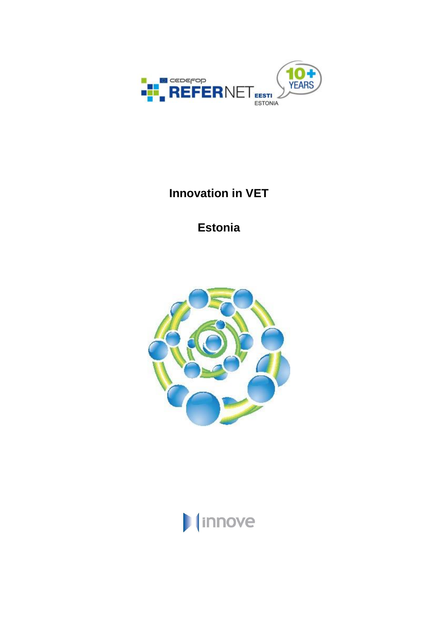

# **Innovation in VET**

**Estonia**



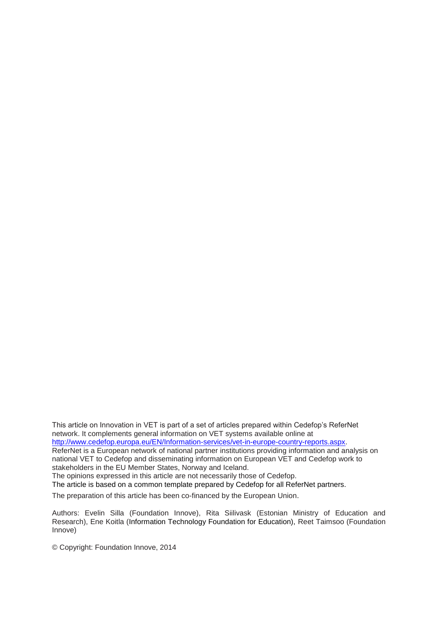This article on Innovation in VET is part of a set of articles prepared within Cedefop's ReferNet network. It complements general information on VET systems available online at [http://www.cedefop.europa.eu/EN/Information-services/vet-in-europe-country-reports.aspx.](http://www.cedefop.europa.eu/EN/Information-services/vet-in-europe-country-reports.aspx) ReferNet is a European network of national partner institutions providing information and analysis on national VET to Cedefop and disseminating information on European VET and Cedefop work to stakeholders in the EU Member States, Norway and Iceland. The opinions expressed in this article are not necessarily those of Cedefop.

The article is based on a common template prepared by Cedefop for all ReferNet partners.

The preparation of this article has been co-financed by the European Union.

Authors: Evelin Silla (Foundation Innove), Rita Siilivask (Estonian Ministry of Education and Research), Ene Koitla (Information Technology Foundation for Education), Reet Taimsoo (Foundation Innove)

© Copyright: Foundation Innove, 2014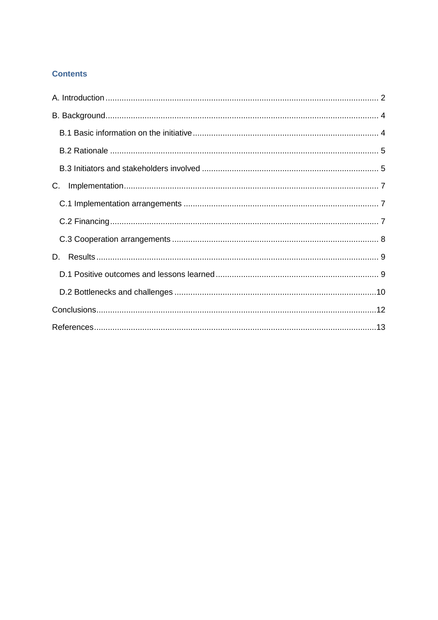# **Contents**

| C. |
|----|
|    |
|    |
|    |
| D. |
|    |
|    |
|    |
|    |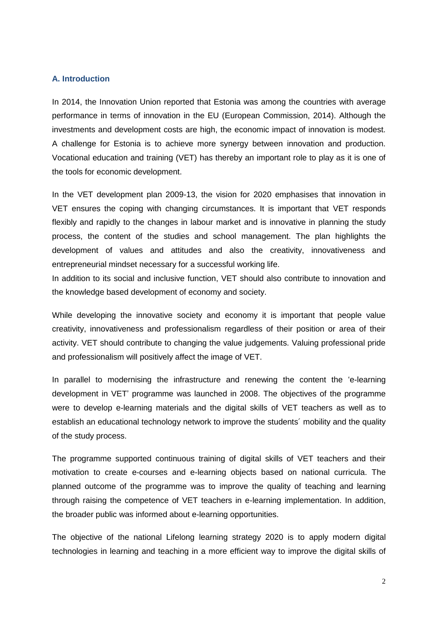## <span id="page-3-0"></span>**A. Introduction**

In 2014, the Innovation Union reported that Estonia was among the countries with average performance in terms of innovation in the EU (European Commission, 2014). Although the investments and development costs are high, the economic impact of innovation is modest. A challenge for Estonia is to achieve more synergy between innovation and production. Vocational education and training (VET) has thereby an important role to play as it is one of the tools for economic development.

In the VET development plan 2009-13, the vision for 2020 emphasises that innovation in VET ensures the coping with changing circumstances. It is important that VET responds flexibly and rapidly to the changes in labour market and is innovative in planning the study process, the content of the studies and school management. The plan highlights the development of values and attitudes and also the creativity, innovativeness and entrepreneurial mindset necessary for a successful working life.

In addition to its social and inclusive function, VET should also contribute to innovation and the knowledge based development of economy and society.

While developing the innovative society and economy it is important that people value creativity, innovativeness and professionalism regardless of their position or area of their activity. VET should contribute to changing the value judgements. Valuing professional pride and professionalism will positively affect the image of VET.

In parallel to modernising the infrastructure and renewing the content the 'e-learning development in VET' programme was launched in 2008. The objectives of the programme were to develop e-learning materials and the digital skills of VET teachers as well as to establish an educational technology network to improve the students´ mobility and the quality of the study process.

The programme supported continuous training of digital skills of VET teachers and their motivation to create e-courses and e-learning objects based on national curricula. The planned outcome of the programme was to improve the quality of teaching and learning through raising the competence of VET teachers in e-learning implementation. In addition, the broader public was informed about e-learning opportunities.

The objective of the national Lifelong learning strategy 2020 is to apply modern digital technologies in learning and teaching in a more efficient way to improve the digital skills of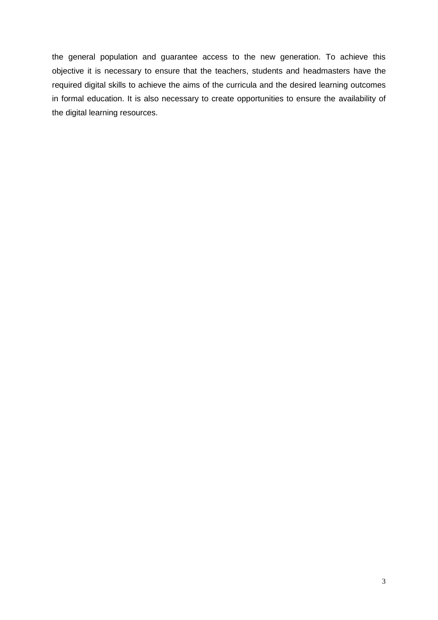the general population and guarantee access to the new generation. To achieve this objective it is necessary to ensure that the teachers, students and headmasters have the required digital skills to achieve the aims of the curricula and the desired learning outcomes in formal education. It is also necessary to create opportunities to ensure the availability of the digital learning resources.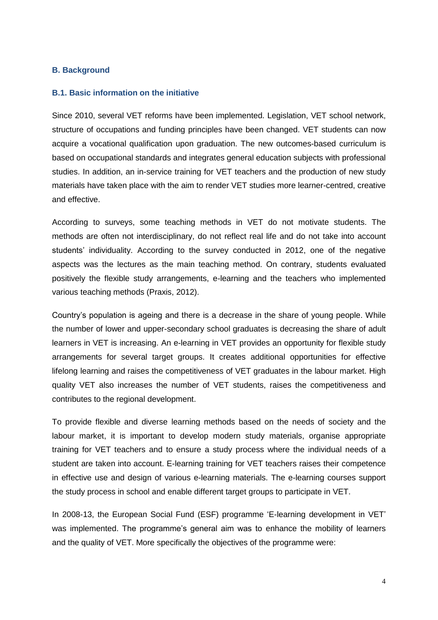#### <span id="page-5-0"></span>**B. Background**

## <span id="page-5-1"></span>**B.1. Basic information on the initiative**

Since 2010, several VET reforms have been implemented. Legislation, VET school network, structure of occupations and funding principles have been changed. VET students can now acquire a vocational qualification upon graduation. The new outcomes-based curriculum is based on occupational standards and integrates general education subjects with professional studies. In addition, an in-service training for VET teachers and the production of new study materials have taken place with the aim to render VET studies more learner-centred, creative and effective.

According to surveys, some teaching methods in VET do not motivate students. The methods are often not interdisciplinary, do not reflect real life and do not take into account students' individuality. According to the survey conducted in 2012, one of the negative aspects was the lectures as the main teaching method. On contrary, students evaluated positively the flexible study arrangements, e-learning and the teachers who implemented various teaching methods (Praxis, 2012).

Country's population is ageing and there is a decrease in the share of young people. While the number of lower and upper-secondary school graduates is decreasing the share of adult learners in VET is increasing. An e-learning in VET provides an opportunity for flexible study arrangements for several target groups. It creates additional opportunities for effective lifelong learning and raises the competitiveness of VET graduates in the labour market. High quality VET also increases the number of VET students, raises the competitiveness and contributes to the regional development.

To provide flexible and diverse learning methods based on the needs of society and the labour market, it is important to develop modern study materials, organise appropriate training for VET teachers and to ensure a study process where the individual needs of a student are taken into account. E-learning training for VET teachers raises their competence in effective use and design of various e-learning materials. The e-learning courses support the study process in school and enable different target groups to participate in VET.

In 2008-13, the European Social Fund (ESF) programme 'E-learning development in VET' was implemented. The programme's general aim was to enhance the mobility of learners and the quality of VET. More specifically the objectives of the programme were: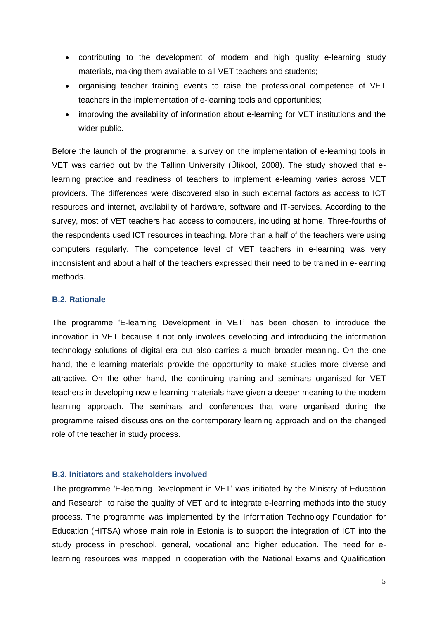- contributing to the development of modern and high quality e-learning study materials, making them available to all VET teachers and students;
- organising teacher training events to raise the professional competence of VET teachers in the implementation of e-learning tools and opportunities;
- improving the availability of information about e-learning for VET institutions and the wider public.

Before the launch of the programme, a survey on the implementation of e-learning tools in VET was carried out by the Tallinn University (Ülikool, 2008). The study showed that elearning practice and readiness of teachers to implement e-learning varies across VET providers. The differences were discovered also in such external factors as access to ICT resources and internet, availability of hardware, software and IT-services. According to the survey, most of VET teachers had access to computers, including at home. Three-fourths of the respondents used ICT resources in teaching. More than a half of the teachers were using computers regularly. The competence level of VET teachers in e-learning was very inconsistent and about a half of the teachers expressed their need to be trained in e-learning methods.

# <span id="page-6-0"></span>**B.2. Rationale**

The programme 'E-learning Development in VET' has been chosen to introduce the innovation in VET because it not only involves developing and introducing the information technology solutions of digital era but also carries a much broader meaning. On the one hand, the e-learning materials provide the opportunity to make studies more diverse and attractive. On the other hand, the continuing training and seminars organised for VET teachers in developing new e-learning materials have given a deeper meaning to the modern learning approach. The seminars and conferences that were organised during the programme raised discussions on the contemporary learning approach and on the changed role of the teacher in study process.

# <span id="page-6-1"></span>**B.3. Initiators and stakeholders involved**

The programme 'E-learning Development in VET' was initiated by the Ministry of Education and Research, to raise the quality of VET and to integrate e-learning methods into the study process. The programme was implemented by the Information Technology Foundation for Education (HITSA) whose main role in Estonia is to support the integration of ICT into the study process in preschool, general, vocational and higher education. The need for elearning resources was mapped in cooperation with the National Exams and Qualification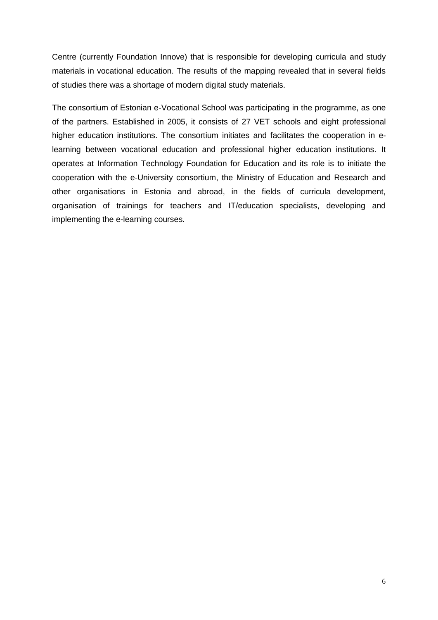Centre (currently Foundation Innove) that is responsible for developing curricula and study materials in vocational education. The results of the mapping revealed that in several fields of studies there was a shortage of modern digital study materials.

The consortium of Estonian e-Vocational School was participating in the programme, as one of the partners. Established in 2005, it consists of 27 VET schools and eight professional higher education institutions. The consortium initiates and facilitates the cooperation in elearning between vocational education and professional higher education institutions. It operates at Information Technology Foundation for Education and its role is to initiate the cooperation with the e-University consortium, the Ministry of Education and Research and other organisations in Estonia and abroad, in the fields of curricula development, organisation of trainings for teachers and IT/education specialists, developing and implementing the e-learning courses.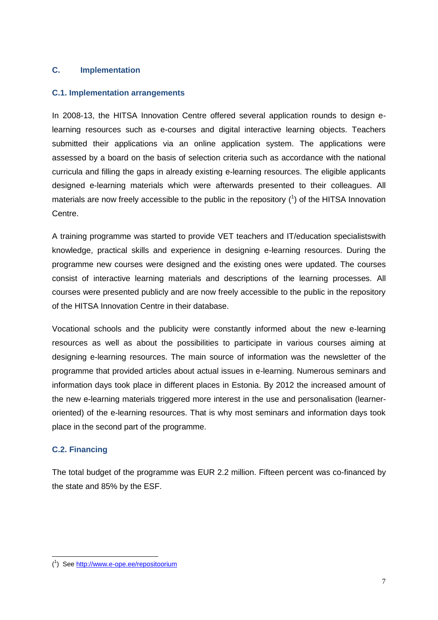# <span id="page-8-0"></span>**C. Implementation**

# <span id="page-8-1"></span>**C.1. Implementation arrangements**

In 2008-13, the HITSA Innovation Centre offered several application rounds to design elearning resources such as e-courses and digital interactive learning objects. Teachers submitted their applications via an online application system. The applications were assessed by a board on the basis of selection criteria such as accordance with the national curricula and filling the gaps in already existing e-learning resources. The eligible applicants designed e-learning materials which were afterwards presented to their colleagues. All materials are now freely accessible to the public in the repository  $(1)$  of the HITSA Innovation Centre.

A training programme was started to provide VET teachers and IT/education specialistswith knowledge, practical skills and experience in designing e-learning resources. During the programme new courses were designed and the existing ones were updated. The courses consist of interactive learning materials and descriptions of the learning processes. All courses were presented publicly and are now freely accessible to the public in the repository of the HITSA Innovation Centre in their database.

Vocational schools and the publicity were constantly informed about the new e-learning resources as well as about the possibilities to participate in various courses aiming at designing e-learning resources. The main source of information was the newsletter of the programme that provided articles about actual issues in e-learning. Numerous seminars and information days took place in different places in Estonia. By 2012 the increased amount of the new e-learning materials triggered more interest in the use and personalisation (learneroriented) of the e-learning resources. That is why most seminars and information days took place in the second part of the programme.

# <span id="page-8-2"></span>**C.2. Financing**

-

The total budget of the programme was EUR 2.2 million. Fifteen percent was co-financed by the state and 85% by the ESF.

<sup>(&</sup>lt;sup>1</sup>) Se[e http://www.e-ope.ee/repositoorium](http://www.e-ope.ee/repositoorium)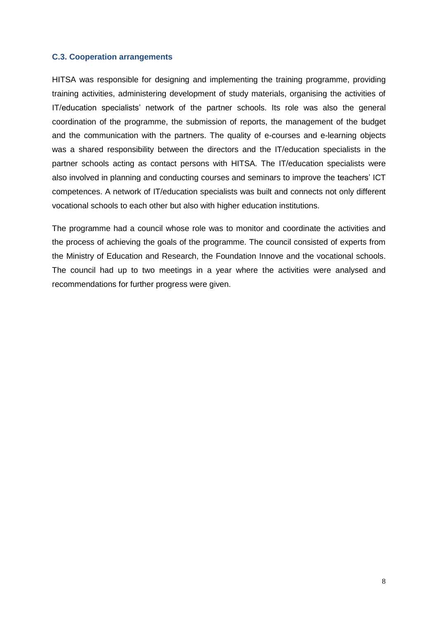## <span id="page-9-0"></span>**C.3. Cooperation arrangements**

HITSA was responsible for designing and implementing the training programme, providing training activities, administering development of study materials, organising the activities of IT/education specialists' network of the partner schools. Its role was also the general coordination of the programme, the submission of reports, the management of the budget and the communication with the partners. The quality of e-courses and e-learning objects was a shared responsibility between the directors and the IT/education specialists in the partner schools acting as contact persons with HITSA. The IT/education specialists were also involved in planning and conducting courses and seminars to improve the teachers' ICT competences. A network of IT/education specialists was built and connects not only different vocational schools to each other but also with higher education institutions.

The programme had a council whose role was to monitor and coordinate the activities and the process of achieving the goals of the programme. The council consisted of experts from the Ministry of Education and Research, the Foundation Innove and the vocational schools. The council had up to two meetings in a year where the activities were analysed and recommendations for further progress were given.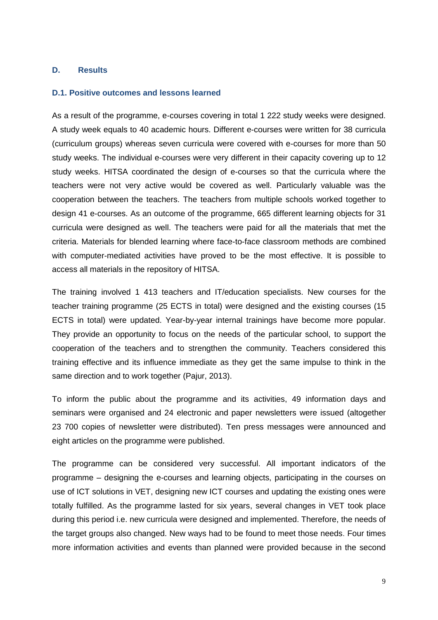# <span id="page-10-0"></span>**D. Results**

## <span id="page-10-1"></span>**D.1. Positive outcomes and lessons learned**

As a result of the programme, e-courses covering in total 1 222 study weeks were designed. A study week equals to 40 academic hours. Different e-courses were written for 38 curricula (curriculum groups) whereas seven curricula were covered with e-courses for more than 50 study weeks. The individual e-courses were very different in their capacity covering up to 12 study weeks. HITSA coordinated the design of e-courses so that the curricula where the teachers were not very active would be covered as well. Particularly valuable was the cooperation between the teachers. The teachers from multiple schools worked together to design 41 e-courses. As an outcome of the programme, 665 different learning objects for 31 curricula were designed as well. The teachers were paid for all the materials that met the criteria. Materials for blended learning where face-to-face classroom methods are combined with computer-mediated activities have proved to be the most effective. It is possible to access all materials in the repository of HITSA.

The training involved 1 413 teachers and IT/education specialists. New courses for the teacher training programme (25 ECTS in total) were designed and the existing courses (15 ECTS in total) were updated. Year-by-year internal trainings have become more popular. They provide an opportunity to focus on the needs of the particular school, to support the cooperation of the teachers and to strengthen the community. Teachers considered this training effective and its influence immediate as they get the same impulse to think in the same direction and to work together (Pajur, 2013).

To inform the public about the programme and its activities, 49 information days and seminars were organised and 24 electronic and paper newsletters were issued (altogether 23 700 copies of newsletter were distributed). Ten press messages were announced and eight articles on the programme were published.

The programme can be considered very successful. All important indicators of the programme – designing the e-courses and learning objects, participating in the courses on use of ICT solutions in VET, designing new ICT courses and updating the existing ones were totally fulfilled. As the programme lasted for six years, several changes in VET took place during this period i.e. new curricula were designed and implemented. Therefore, the needs of the target groups also changed. New ways had to be found to meet those needs. Four times more information activities and events than planned were provided because in the second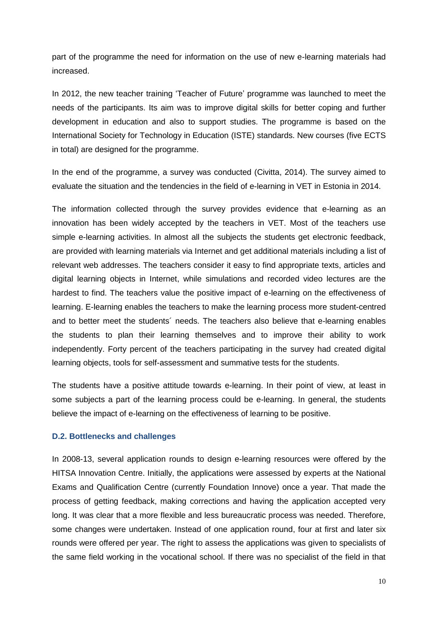part of the programme the need for information on the use of new e-learning materials had increased.

In 2012, the new teacher training 'Teacher of Future' programme was launched to meet the needs of the participants. Its aim was to improve digital skills for better coping and further development in education and also to support studies. The programme is based on the International Society for Technology in Education (ISTE) standards. New courses (five ECTS in total) are designed for the programme.

In the end of the programme, a survey was conducted (Civitta, 2014). The survey aimed to evaluate the situation and the tendencies in the field of e-learning in VET in Estonia in 2014.

The information collected through the survey provides evidence that e-learning as an innovation has been widely accepted by the teachers in VET. Most of the teachers use simple e-learning activities. In almost all the subjects the students get electronic feedback, are provided with learning materials via Internet and get additional materials including a list of relevant web addresses. The teachers consider it easy to find appropriate texts, articles and digital learning objects in Internet, while simulations and recorded video lectures are the hardest to find. The teachers value the positive impact of e-learning on the effectiveness of learning. E-learning enables the teachers to make the learning process more student-centred and to better meet the students´ needs. The teachers also believe that e-learning enables the students to plan their learning themselves and to improve their ability to work independently. Forty percent of the teachers participating in the survey had created digital learning objects, tools for self-assessment and summative tests for the students.

The students have a positive attitude towards e-learning. In their point of view, at least in some subjects a part of the learning process could be e-learning. In general, the students believe the impact of e-learning on the effectiveness of learning to be positive.

# <span id="page-11-0"></span>**D.2. Bottlenecks and challenges**

In 2008-13, several application rounds to design e-learning resources were offered by the HITSA Innovation Centre. Initially, the applications were assessed by experts at the National Exams and Qualification Centre (currently Foundation Innove) once a year. That made the process of getting feedback, making corrections and having the application accepted very long. It was clear that a more flexible and less bureaucratic process was needed. Therefore, some changes were undertaken. Instead of one application round, four at first and later six rounds were offered per year. The right to assess the applications was given to specialists of the same field working in the vocational school. If there was no specialist of the field in that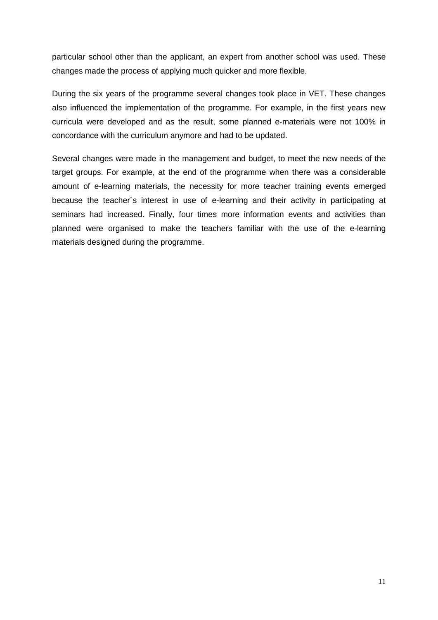particular school other than the applicant, an expert from another school was used. These changes made the process of applying much quicker and more flexible.

During the six years of the programme several changes took place in VET. These changes also influenced the implementation of the programme. For example, in the first years new curricula were developed and as the result, some planned e-materials were not 100% in concordance with the curriculum anymore and had to be updated.

Several changes were made in the management and budget, to meet the new needs of the target groups. For example, at the end of the programme when there was a considerable amount of e-learning materials, the necessity for more teacher training events emerged because the teacher´s interest in use of e-learning and their activity in participating at seminars had increased. Finally, four times more information events and activities than planned were organised to make the teachers familiar with the use of the e-learning materials designed during the programme.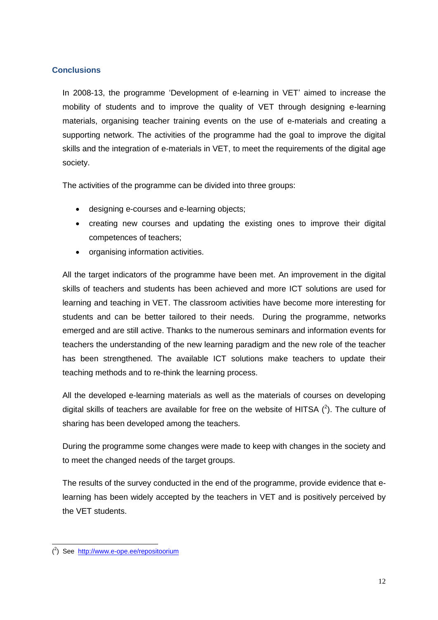# <span id="page-13-0"></span>**Conclusions**

In 2008-13, the programme 'Development of e-learning in VET' aimed to increase the mobility of students and to improve the quality of VET through designing e-learning materials, organising teacher training events on the use of e-materials and creating a supporting network. The activities of the programme had the goal to improve the digital skills and the integration of e-materials in VET, to meet the requirements of the digital age society.

The activities of the programme can be divided into three groups:

- designing e-courses and e-learning objects;
- creating new courses and updating the existing ones to improve their digital competences of teachers;
- organising information activities.

All the target indicators of the programme have been met. An improvement in the digital skills of teachers and students has been achieved and more ICT solutions are used for learning and teaching in VET. The classroom activities have become more interesting for students and can be better tailored to their needs. During the programme, networks emerged and are still active. Thanks to the numerous seminars and information events for teachers the understanding of the new learning paradigm and the new role of the teacher has been strengthened. The available ICT solutions make teachers to update their teaching methods and to re-think the learning process.

All the developed e-learning materials as well as the materials of courses on developing digital skills of teachers are available for free on the website of HITSA  $(^2)$ . The culture of sharing has been developed among the teachers.

During the programme some changes were made to keep with changes in the society and to meet the changed needs of the target groups.

The results of the survey conducted in the end of the programme, provide evidence that elearning has been widely accepted by the teachers in VET and is positively perceived by the VET students.

-

<sup>(&</sup>lt;sup>2</sup>) See <http://www.e-ope.ee/repositoorium>